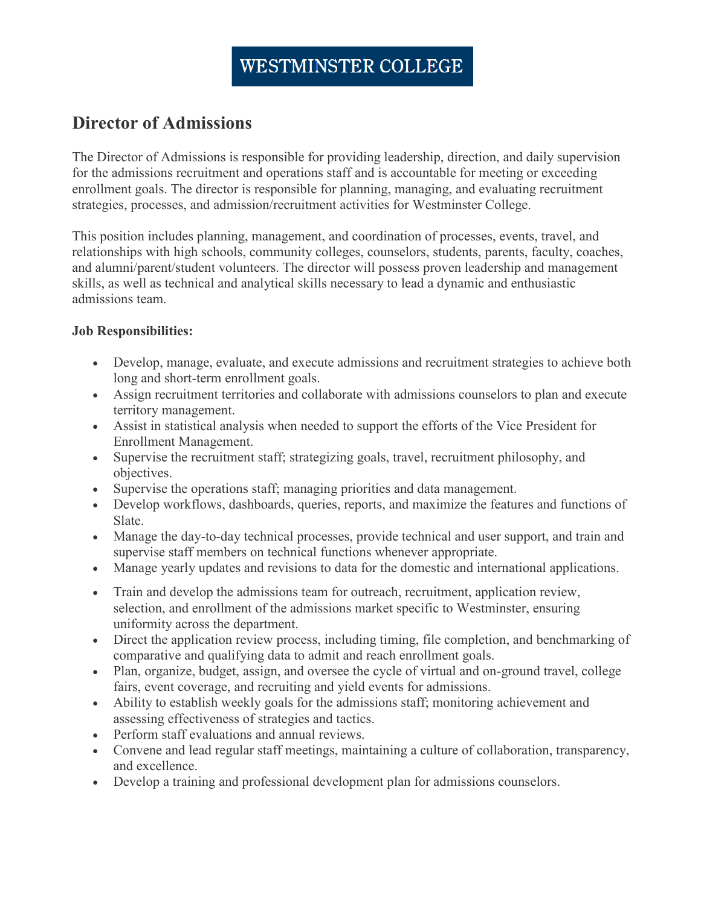## **Director of Admissions**

The Director of Admissions is responsible for providing leadership, direction, and daily supervision for the admissions recruitment and operations staff and is accountable for meeting or exceeding enrollment goals. The director is responsible for planning, managing, and evaluating recruitment strategies, processes, and admission/recruitment activities for Westminster College.

This position includes planning, management, and coordination of processes, events, travel, and relationships with high schools, community colleges, counselors, students, parents, faculty, coaches, and alumni/parent/student volunteers. The director will possess proven leadership and management skills, as well as technical and analytical skills necessary to lead a dynamic and enthusiastic admissions team.

## **Job Responsibilities:**

- Develop, manage, evaluate, and execute admissions and recruitment strategies to achieve both long and short-term enrollment goals.
- Assign recruitment territories and collaborate with admissions counselors to plan and execute territory management.
- Assist in statistical analysis when needed to support the efforts of the Vice President for Enrollment Management.
- Supervise the recruitment staff; strategizing goals, travel, recruitment philosophy, and objectives.
- Supervise the operations staff; managing priorities and data management.
- Develop workflows, dashboards, queries, reports, and maximize the features and functions of Slate.
- Manage the day-to-day technical processes, provide technical and user support, and train and supervise staff members on technical functions whenever appropriate.
- Manage yearly updates and revisions to data for the domestic and international applications.
- Train and develop the admissions team for outreach, recruitment, application review, selection, and enrollment of the admissions market specific to Westminster, ensuring uniformity across the department.
- Direct the application review process, including timing, file completion, and benchmarking of comparative and qualifying data to admit and reach enrollment goals.
- Plan, organize, budget, assign, and oversee the cycle of virtual and on-ground travel, college fairs, event coverage, and recruiting and yield events for admissions.
- Ability to establish weekly goals for the admissions staff; monitoring achievement and assessing effectiveness of strategies and tactics.
- Perform staff evaluations and annual reviews.
- Convene and lead regular staff meetings, maintaining a culture of collaboration, transparency, and excellence.
- Develop a training and professional development plan for admissions counselors.